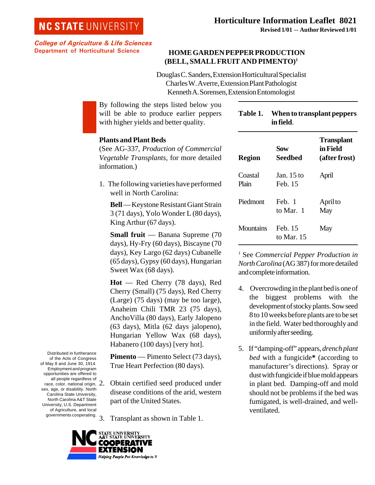# **NC STATE UNIVERSITY**

College of Agriculture & Life Sciences Department of Horticultural Science

## **HOME GARDEN PEPPER PRODUCTION (BELL, SMALL FRUIT AND PIMENTO)1**

Douglas C. Sanders, Extension Horticultural Specialist Charles W. Averre, Extension Plant Pathologist Kenneth A. Sorensen, Extension Entomologist

By following the steps listed below you will be able to produce earlier peppers with higher yields and better quality.

### **Table 1. When to transplant peppers in field**.

#### **Plants and Plant Beds**

(See AG-337*, Production of Commercial Vegetable Transplants,* for more detailed information.)

1. The following varieties have performed well in North Carolina:

**Bell** — Keystone Resistant Giant Strain 3 (71 days), Yolo Wonder L (80 days), King Arthur (67 days).

**Small fruit** — Banana Supreme (70 days), Hy-Fry (60 days), Biscayne (70 days), Key Largo (62 days) Cubanelle (65 days), Gypsy (60 days), Hungarian Sweet Wax (68 days).

**Hot** — Red Cherry (78 days), Red Cherry (Small) (75 days), Red Cherry (Large) (75 days) (may be too large), Anaheim Chili TMR 23 (75 days), AnchoVilla (80 days), Early Jalopeno (63 days), Mitla (62 days jalopeno), Hungarian Yellow Wax (68 days), Habanero (100 days) [very hot].

**Pimento** — Pimento Select (73 days), True Heart Perfection (80 days).

- race, color, national origin,  $2.$ 2. Obtain certified seed produced under disease conditions of the arid, western part of the United States.
	- 3. Transplant as shown in Table 1.



Distributed in furtherance of the Acts of Congress of May 8 and June 30, 1914. Employment and program opportunities are offered to all people regardless of

sex, age, or disability. North Carolina State University, North Carolina A&T State University, U.S. Department of Agriculture, and local governments cooperating.

| <b>Region</b>    | Sow<br>Seedbed        | <b>Transplant</b><br>in Field<br>(after frost) |
|------------------|-----------------------|------------------------------------------------|
| Coastal<br>Plain | Jan. 15 to<br>Feb. 15 | April                                          |
| Piedmont         | Feb. 1<br>to Mar 1    | April to<br>May                                |
| Mountains        | Feb. 15<br>to Mar. 15 | May                                            |

1 See *Commercial Pepper Production in North Carolina* (AG 387) for more detailed and complete information.

- 4. Overcrowding in the plant bed is one of the biggest problems with the development of stocky plants. Sow seed 8 to 10 weeks before plants are to be set in the field. Water bed thoroughly and uniformly after seeding.
- 5. If "damping-off" appears, *drench plant bed* with a fungicide**\*** (according to manufacturer's directions). Spray or dust with fungicide if blue mold appears in plant bed. Damping-off and mold should not be problems if the bed was fumigated, is well-drained, and wellventilated.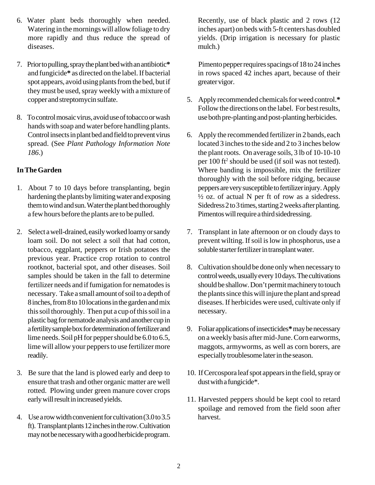- 6. Water plant beds thoroughly when needed. Watering in the mornings will allow foliage to dry more rapidly and thus reduce the spread of diseases.
- 7. Prior to pulling, spray the plant bed with an antibiotic**\*** and fungicide**\*** as directed on the label. If bacterial spot appears, avoid using plants from the bed, but if they must be used, spray weekly with a mixture of copper and streptomycin sulfate.
- 8. To control mosaic virus, avoid use of tobacco or wash hands with soap and water before handling plants. Control insects in plant bed and field to prevent virus spread. (See *Plant Pathology Information Note 186*.)

## **In The Garden**

- 1. About 7 to 10 days before transplanting, begin hardening the plants by limiting water and exposing them to wind and sun. Water the plant bed thoroughly a few hours before the plants are to be pulled.
- 2. Select a well-drained, easily worked loamy or sandy loam soil. Do not select a soil that had cotton, tobacco, eggplant, peppers or Irish potatoes the previous year. Practice crop rotation to control rootknot, bacterial spot, and other diseases. Soil samples should be taken in the fall to determine fertilizer needs and if fumigation for nematodes is necessary. Take a small amount of soil to a depth of 8 inches, from 8 to 10 locations in the garden and mix this soil thoroughly. Then put a cup of this soil in a plastic bag for nematode analysis and another cup in a fertility sample box for determination of fertilizer and lime needs. Soil pH for pepper should be 6.0 to 6.5, lime will allow your peppers to use fertilizer more readily.
- 3. Be sure that the land is plowed early and deep to ensure that trash and other organic matter are well rotted. Plowing under green manure cover crops early will result in increased yields.
- 4. Use a row width convenient for cultivation (3.0 to 3.5 ft). Transplant plants 12 inches in the row. Cultivation may not be necessary with a good herbicide program.

Recently, use of black plastic and 2 rows (12 inches apart) on beds with 5-ft centers has doubled yields. (Drip irrigation is necessary for plastic mulch.)

Pimento pepper requires spacings of 18 to 24 inches in rows spaced 42 inches apart, because of their greater vigor.

- 5. Apply recommended chemicals for weed control.**\*** Follow the directions on the label. For best results, use both pre-planting and post-planting herbicides.
- 6. Apply the recommended fertilizer in 2 bands, each located 3 inches to the side and 2 to 3 inches below the plant roots. On average soils, 3 lb of 10-10-10 per 100 ft<sup>2</sup> should be used (if soil was not tested). Where banding is impossible, mix the fertilizer thoroughly with the soil before ridging, because peppers are very susceptible to fertilizer injury. Apply  $\frac{1}{2}$  oz. of actual N per ft of row as a sidedress. Sidedress 2 to 3 times, starting 2 weeks after planting. Pimentos will require a third sidedressing.
- 7. Transplant in late afternoon or on cloudy days to prevent wilting. If soil is low in phosphorus, use a soluble starter fertilizer in transplant water.
- 8. Cultivation should be done only when necessary to control weeds, usually every 10 days. The cultivations should be shallow. Don't permit machinery to touch the plants since this will injure the plant and spread diseases. If herbicides were used, cultivate only if necessary.
- 9. Foliar applications of insecticides**\*** may be necessary on a weekly basis after mid-June. Corn earworms, maggots, armyworms, as well as corn borers, are especially troublesome later in the season.
- 10. If Cercospora leaf spot appears in the field, spray or dust with a fungicide\*.
- 11. Harvested peppers should be kept cool to retard spoilage and removed from the field soon after harvest.